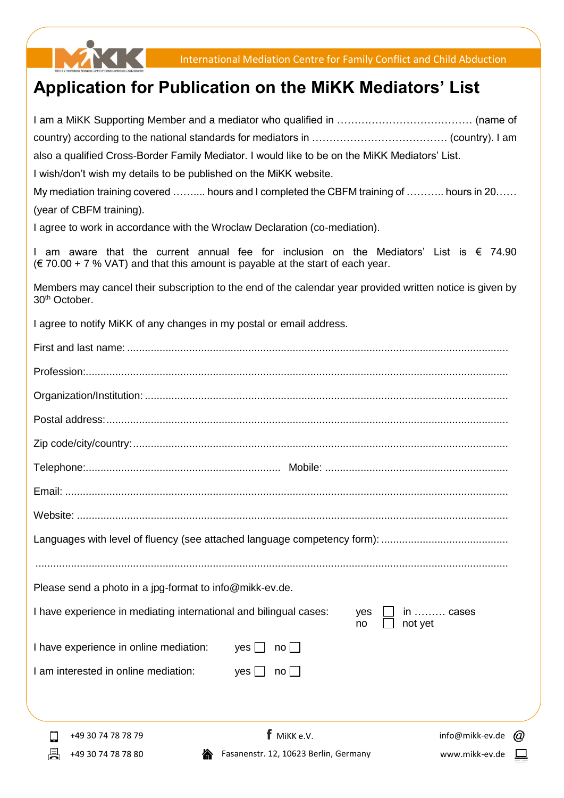

## **Application for Publication on the MiKK Mediators' List**

| <b>f</b> MiKK e.V.<br>info@mikk-ev.de @<br>+49 30 74 78 78 79                                                                                                                                               |
|-------------------------------------------------------------------------------------------------------------------------------------------------------------------------------------------------------------|
|                                                                                                                                                                                                             |
| I am interested in online mediation:<br>$yes \mid$<br>$no \Box$                                                                                                                                             |
| I have experience in online mediation:<br>$no \Box$<br>yes                                                                                                                                                  |
| I have experience in mediating international and bilingual cases:<br>in ……… cases<br>yes<br>not yet<br>no                                                                                                   |
| Please send a photo in a jpg-format to info@mikk-ev.de.                                                                                                                                                     |
|                                                                                                                                                                                                             |
|                                                                                                                                                                                                             |
|                                                                                                                                                                                                             |
|                                                                                                                                                                                                             |
|                                                                                                                                                                                                             |
|                                                                                                                                                                                                             |
|                                                                                                                                                                                                             |
|                                                                                                                                                                                                             |
|                                                                                                                                                                                                             |
|                                                                                                                                                                                                             |
|                                                                                                                                                                                                             |
|                                                                                                                                                                                                             |
| I agree to notify MiKK of any changes in my postal or email address.                                                                                                                                        |
| Members may cancel their subscription to the end of the calendar year provided written notice is given by<br>30 <sup>th</sup> October.                                                                      |
| I am aware that the current annual fee for inclusion on the Mediators' List is $\epsilon$ 74.90<br>$(\text{F } 70.00 + 7 \text{ % } \text{VAT})$ and that this amount is payable at the start of each year. |
| I agree to work in accordance with the Wroclaw Declaration (co-mediation).                                                                                                                                  |
| (year of CBFM training).                                                                                                                                                                                    |
| My mediation training covered  hours and I completed the CBFM training of  hours in 20                                                                                                                      |
| I wish/don't wish my details to be published on the MiKK website.                                                                                                                                           |
| also a qualified Cross-Border Family Mediator. I would like to be on the MiKK Mediators' List.                                                                                                              |
|                                                                                                                                                                                                             |
|                                                                                                                                                                                                             |

昌

 $\overline{\phantom{a}}$